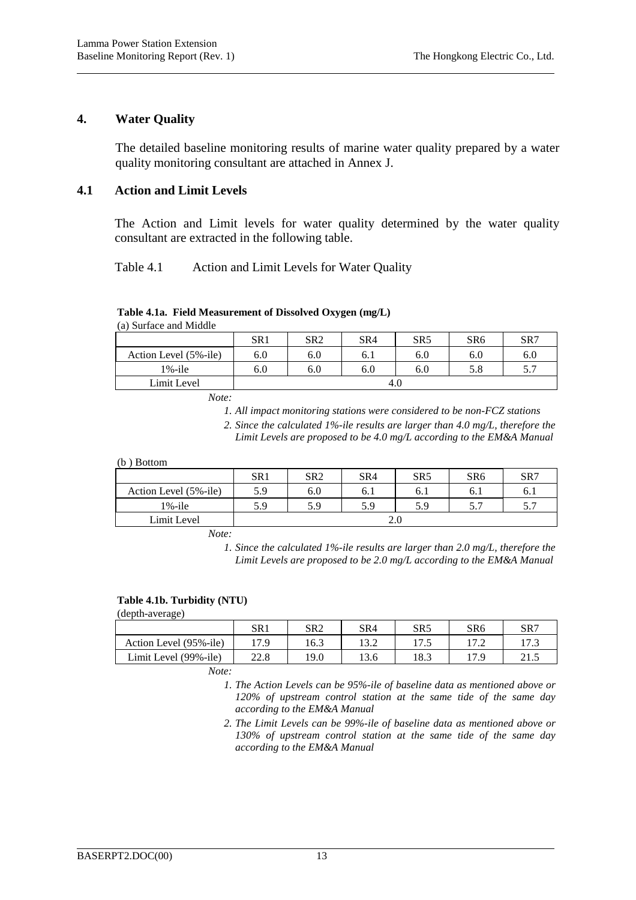## **4. Water Quality**

l

The detailed baseline monitoring results of marine water quality prepared by a water quality monitoring consultant are attached in Annex J.

# **4.1 Action and Limit Levels**

The Action and Limit levels for water quality determined by the water quality consultant are extracted in the following table.

## Table 4.1 Action and Limit Levels for Water Quality

## **Table 4.1a. Field Measurement of Dissolved Oxygen (mg/L)**

(a) Surface and Middle

|                       | SR <sub>1</sub> | SR <sub>2</sub> | SR4 | SR5 | SR6 | SR7 |  |
|-----------------------|-----------------|-----------------|-----|-----|-----|-----|--|
| Action Level (5%-ile) | 6.0             | 6.0             | 6.1 | 6.0 | 6.0 | 6.0 |  |
| $1\%$ -ile            | 6.0             | 6.0             | 6.0 | 6.0 | 5.8 | 5.7 |  |
| Limit Level           | 4.C             |                 |     |     |     |     |  |

*Note:* 

*1. All impact monitoring stations were considered to be non-FCZ stations* 

*2. Since the calculated 1%-ile results are larger than 4.0 mg/L, therefore the Limit Levels are proposed to be 4.0 mg/L according to the EM&A Manual*

#### (b ) Bottom

|                       | SR <sub>1</sub> | SR <sub>2</sub> | SR <sub>4</sub> | SR <sub>5</sub> | SR <sub>6</sub> | SR7  |  |
|-----------------------|-----------------|-----------------|-----------------|-----------------|-----------------|------|--|
| Action Level (5%-ile) | 5.9             | 6.0             | 6.1             | 0.1             | 0.1             | 0. I |  |
| $1\%$ -ile            | 5.9             | 5.9             | 5.9             | 5.9             |                 | 5.7  |  |
| Limit Level           | Z.U             |                 |                 |                 |                 |      |  |

*Note:* 

*1. Since the calculated 1%-ile results are larger than 2.0 mg/L, therefore the Limit Levels are proposed to be 2.0 mg/L according to the EM&A Manual*

## **Table 4.1b. Turbidity (NTU)**

(depth-average)

|                        | SR1  | SR2   | SR4   | SR5  | SR <sub>6</sub> | SR7         |
|------------------------|------|-------|-------|------|-----------------|-------------|
| Action Level (95%-ile) | 17.9 | .6.3  | 1 J.Z | .7.5 |                 | 17.3        |
| Limit Level (99%-ile)  | 22.8 | l 9.0 | 13.6  | 18.3 |                 | ግ1፡<br>41.J |
| __                     |      |       |       |      |                 |             |

*Note:* 

*1. The Action Levels can be 95%-ile of baseline data as mentioned above or 120% of upstream control station at the same tide of the same day according to the EM&A Manual* 

*2. The Limit Levels can be 99%-ile of baseline data as mentioned above or 130% of upstream control station at the same tide of the same day according to the EM&A Manual* 

l